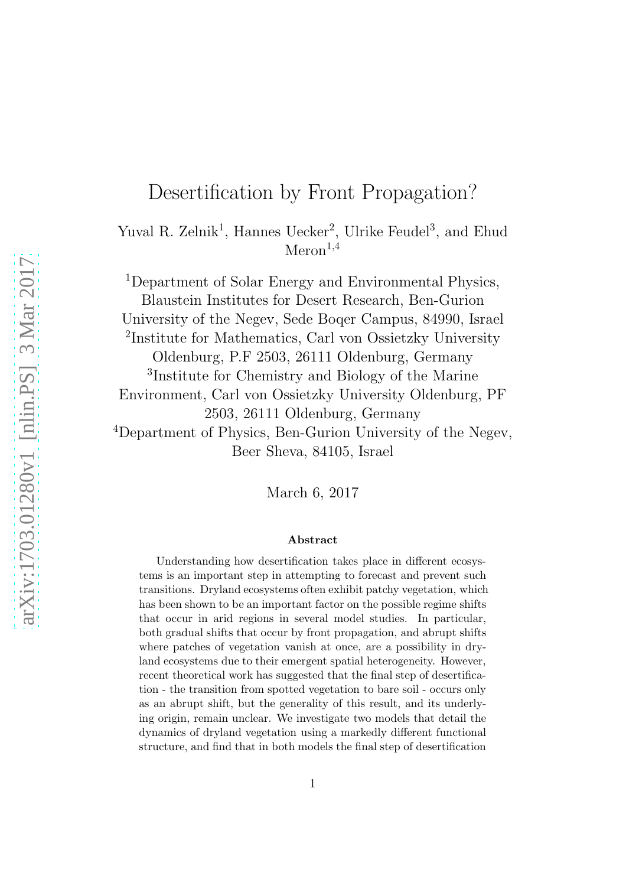# Desertification by Front Propagation?

Yuval R. Zelnik<sup>1</sup>, Hannes Uecker<sup>2</sup>, Ulrike Feudel<sup>3</sup>, and Ehud  $Meron^{1,4}$ 

<sup>1</sup>Department of Solar Energy and Environmental Physics, Blaustein Institutes for Desert Research, Ben-Gurion University of the Negev, Sede Boqer Campus, 84990, Israel 2 Institute for Mathematics, Carl von Ossietzky University Oldenburg, P.F 2503, 26111 Oldenburg, Germany 3 Institute for Chemistry and Biology of the Marine Environment, Carl von Ossietzky University Oldenburg, PF 2503, 26111 Oldenburg, Germany <sup>4</sup>Department of Physics, Ben-Gurion University of the Negev, Beer Sheva, 84105, Israel

March 6, 2017

#### Abstract

Understanding how desertification takes place in different ecosystems is an important step in attempting to forecast and prevent such transitions. Dryland ecosystems often exhibit patchy vegetation, which has been shown to be an important factor on the possible regime shifts that occur in arid regions in several model studies. In particular, both gradual shifts that occur by front propagation, and abrupt shifts where patches of vegetation vanish at once, are a possibility in dryland ecosystems due to their emergent spatial heterogeneity. However, recent theoretical work has suggested that the final step of desertification - the transition from spotted vegetation to bare soil - occurs only as an abrupt shift, but the generality of this result, and its underlying origin, remain unclear. We investigate two models that detail the dynamics of dryland vegetation using a markedly different functional structure, and find that in both models the final step of desertification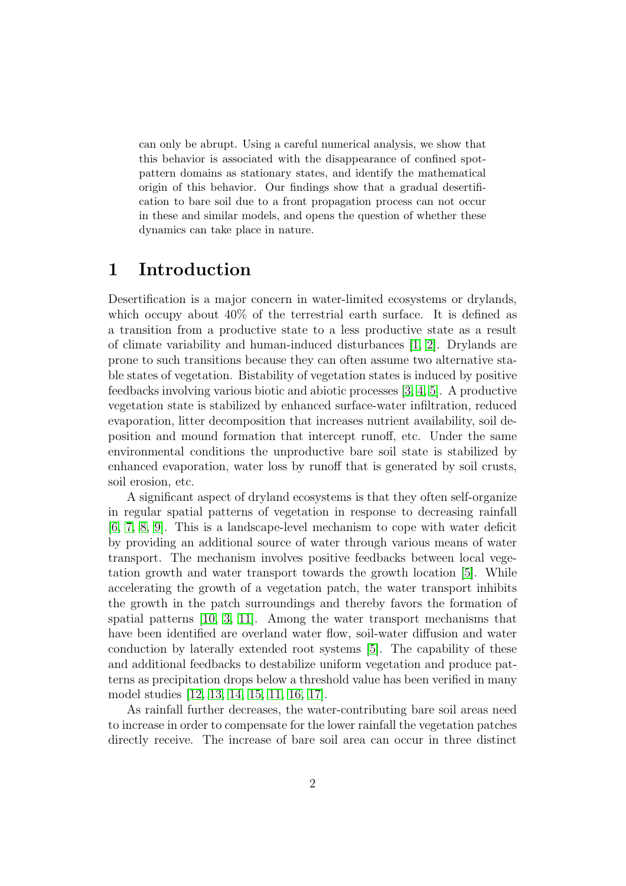can only be abrupt. Using a careful numerical analysis, we show that this behavior is associated with the disappearance of confined spotpattern domains as stationary states, and identify the mathematical origin of this behavior. Our findings show that a gradual desertification to bare soil due to a front propagation process can not occur in these and similar models, and opens the question of whether these dynamics can take place in nature.

#### 1 Introduction

Desertification is a major concern in water-limited ecosystems or drylands, which occupy about 40% of the terrestrial earth surface. It is defined as a transition from a productive state to a less productive state as a result of climate variability and human-induced disturbances [\[1,](#page-21-0) [2\]](#page-21-1). Drylands are prone to such transitions because they can often assume two alternative stable states of vegetation. Bistability of vegetation states is induced by positive feedbacks involving various biotic and abiotic processes [\[3,](#page-21-2) [4,](#page-21-3) [5\]](#page-21-4). A productive vegetation state is stabilized by enhanced surface-water infiltration, reduced evaporation, litter decomposition that increases nutrient availability, soil deposition and mound formation that intercept runoff, etc. Under the same environmental conditions the unproductive bare soil state is stabilized by enhanced evaporation, water loss by runoff that is generated by soil crusts, soil erosion, etc.

A significant aspect of dryland ecosystems is that they often self-organize in regular spatial patterns of vegetation in response to decreasing rainfall [\[6,](#page-21-5) [7,](#page-22-0) [8,](#page-22-1) [9\]](#page-22-2). This is a landscape-level mechanism to cope with water deficit by providing an additional source of water through various means of water transport. The mechanism involves positive feedbacks between local vegetation growth and water transport towards the growth location [\[5\]](#page-21-4). While accelerating the growth of a vegetation patch, the water transport inhibits the growth in the patch surroundings and thereby favors the formation of spatial patterns [\[10,](#page-22-3) [3,](#page-21-2) [11\]](#page-22-4). Among the water transport mechanisms that have been identified are overland water flow, soil-water diffusion and water conduction by laterally extended root systems [\[5\]](#page-21-4). The capability of these and additional feedbacks to destabilize uniform vegetation and produce patterns as precipitation drops below a threshold value has been verified in many model studies [\[12,](#page-22-5) [13,](#page-22-6) [14,](#page-23-0) [15,](#page-23-1) [11,](#page-22-4) [16,](#page-23-2) [17\]](#page-23-3).

As rainfall further decreases, the water-contributing bare soil areas need to increase in order to compensate for the lower rainfall the vegetation patches directly receive. The increase of bare soil area can occur in three distinct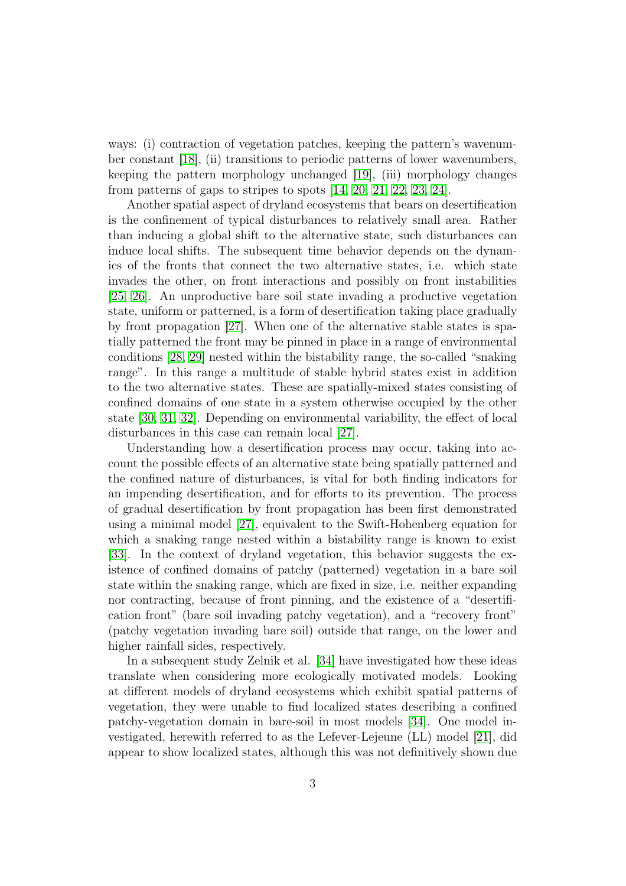ways: (i) contraction of vegetation patches, keeping the pattern's wavenumber constant [\[18\]](#page-23-4), (ii) transitions to periodic patterns of lower wavenumbers, keeping the pattern morphology unchanged [\[19\]](#page-23-5), (iii) morphology changes from patterns of gaps to stripes to spots [\[14,](#page-23-0) [20,](#page-23-6) [21,](#page-23-7) [22,](#page-23-8) [23,](#page-23-9) [24\]](#page-23-10).

Another spatial aspect of dryland ecosystems that bears on desertification is the confinement of typical disturbances to relatively small area. Rather than inducing a global shift to the alternative state, such disturbances can induce local shifts. The subsequent time behavior depends on the dynamics of the fronts that connect the two alternative states, i.e. which state invades the other, on front interactions and possibly on front instabilities [\[25,](#page-24-0) [26\]](#page-24-1). An unproductive bare soil state invading a productive vegetation state, uniform or patterned, is a form of desertification taking place gradually by front propagation [\[27\]](#page-24-2). When one of the alternative stable states is spatially patterned the front may be pinned in place in a range of environmental conditions [\[28,](#page-24-3) [29\]](#page-24-4) nested within the bistability range, the so-called "snaking range". In this range a multitude of stable hybrid states exist in addition to the two alternative states. These are spatially-mixed states consisting of confined domains of one state in a system otherwise occupied by the other state [\[30,](#page-24-5) [31,](#page-24-6) [32\]](#page-24-7). Depending on environmental variability, the effect of local disturbances in this case can remain local [\[27\]](#page-24-2).

Understanding how a desertification process may occur, taking into account the possible effects of an alternative state being spatially patterned and the confined nature of disturbances, is vital for both finding indicators for an impending desertification, and for efforts to its prevention. The process of gradual desertification by front propagation has been first demonstrated using a minimal model [\[27\]](#page-24-2), equivalent to the Swift-Hohenberg equation for which a snaking range nested within a bistability range is known to exist [\[33\]](#page-24-8). In the context of dryland vegetation, this behavior suggests the existence of confined domains of patchy (patterned) vegetation in a bare soil state within the snaking range, which are fixed in size, i.e. neither expanding nor contracting, because of front pinning, and the existence of a "desertification front" (bare soil invading patchy vegetation), and a "recovery front" (patchy vegetation invading bare soil) outside that range, on the lower and higher rainfall sides, respectively.

In a subsequent study Zelnik et al. [\[34\]](#page-24-9) have investigated how these ideas translate when considering more ecologically motivated models. Looking at different models of dryland ecosystems which exhibit spatial patterns of vegetation, they were unable to find localized states describing a confined patchy-vegetation domain in bare-soil in most models [\[34\]](#page-24-9). One model investigated, herewith referred to as the Lefever-Lejeune (LL) model [\[21\]](#page-23-7), did appear to show localized states, although this was not definitively shown due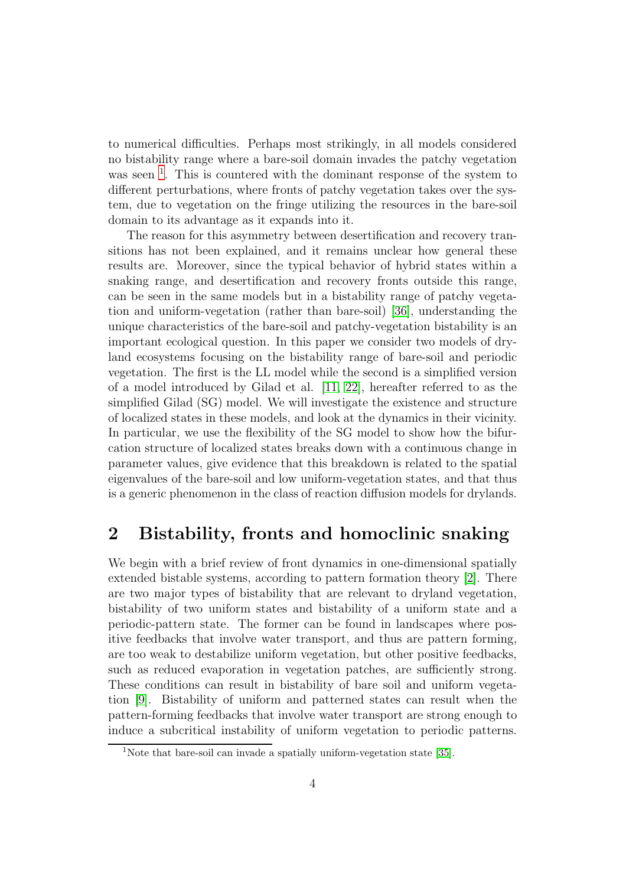to numerical difficulties. Perhaps most strikingly, in all models considered no bistability range where a bare-soil domain invades the patchy vegetation was seen  $<sup>1</sup>$  $<sup>1</sup>$  $<sup>1</sup>$ . This is countered with the dominant response of the system to</sup> different perturbations, where fronts of patchy vegetation takes over the system, due to vegetation on the fringe utilizing the resources in the bare-soil domain to its advantage as it expands into it.

The reason for this asymmetry between desertification and recovery transitions has not been explained, and it remains unclear how general these results are. Moreover, since the typical behavior of hybrid states within a snaking range, and desertification and recovery fronts outside this range, can be seen in the same models but in a bistability range of patchy vegetation and uniform-vegetation (rather than bare-soil) [\[36\]](#page-24-10), understanding the unique characteristics of the bare-soil and patchy-vegetation bistability is an important ecological question. In this paper we consider two models of dryland ecosystems focusing on the bistability range of bare-soil and periodic vegetation. The first is the LL model while the second is a simplified version of a model introduced by Gilad et al. [\[11,](#page-22-4) [22\]](#page-23-8), hereafter referred to as the simplified Gilad (SG) model. We will investigate the existence and structure of localized states in these models, and look at the dynamics in their vicinity. In particular, we use the flexibility of the SG model to show how the bifurcation structure of localized states breaks down with a continuous change in parameter values, give evidence that this breakdown is related to the spatial eigenvalues of the bare-soil and low uniform-vegetation states, and that thus is a generic phenomenon in the class of reaction diffusion models for drylands.

### 2 Bistability, fronts and homoclinic snaking

We begin with a brief review of front dynamics in one-dimensional spatially extended bistable systems, according to pattern formation theory [\[2\]](#page-21-1). There are two major types of bistability that are relevant to dryland vegetation, bistability of two uniform states and bistability of a uniform state and a periodic-pattern state. The former can be found in landscapes where positive feedbacks that involve water transport, and thus are pattern forming, are too weak to destabilize uniform vegetation, but other positive feedbacks, such as reduced evaporation in vegetation patches, are sufficiently strong. These conditions can result in bistability of bare soil and uniform vegetation [\[9\]](#page-22-2). Bistability of uniform and patterned states can result when the pattern-forming feedbacks that involve water transport are strong enough to induce a subcritical instability of uniform vegetation to periodic patterns.

<span id="page-3-0"></span><sup>&</sup>lt;sup>1</sup>Note that bare-soil can invade a spatially uniform-vegetation state [\[35\]](#page-24-11).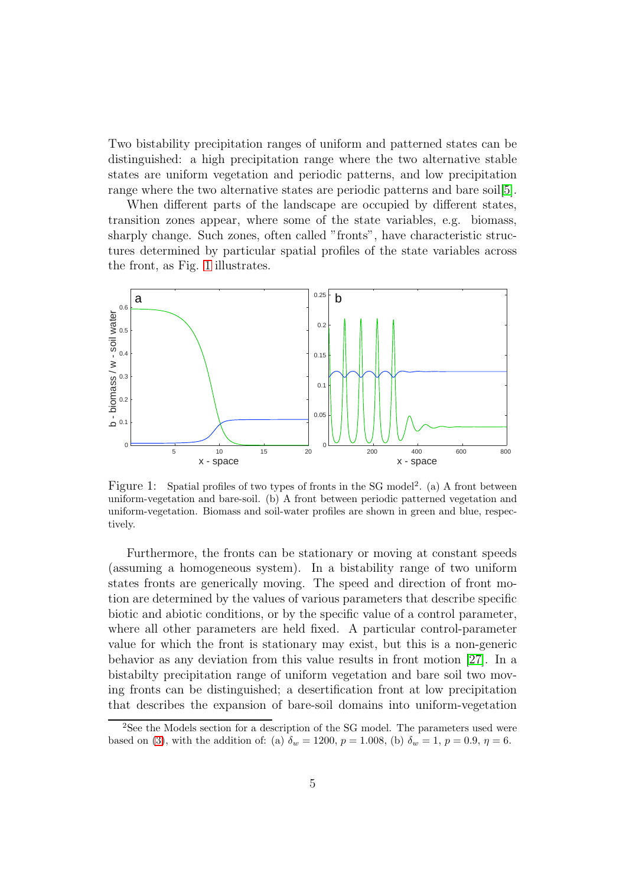Two bistability precipitation ranges of uniform and patterned states can be distinguished: a high precipitation range where the two alternative stable states are uniform vegetation and periodic patterns, and low precipitation range where the two alternative states are periodic patterns and bare soil[\[5\]](#page-21-4).

When different parts of the landscape are occupied by different states, transition zones appear, where some of the state variables, e.g. biomass, sharply change. Such zones, often called "fronts", have characteristic structures determined by particular spatial profiles of the state variables across the front, as Fig. [1](#page-19-0) illustrates.



Figure 1: Spatial profiles of two types of fronts in the SG model<sup>2</sup>. (a) A front between uniform-vegetation and bare-soil. (b) A front between periodic patterned vegetation and uniform-vegetation. Biomass and soil-water profiles are shown in green and blue, respectively.

Furthermore, the fronts can be stationary or moving at constant speeds (assuming a homogeneous system). In a bistability range of two uniform states fronts are generically moving. The speed and direction of front motion are determined by the values of various parameters that describe specific biotic and abiotic conditions, or by the specific value of a control parameter, where all other parameters are held fixed. A particular control-parameter value for which the front is stationary may exist, but this is a non-generic behavior as any deviation from this value results in front motion [\[27\]](#page-24-2). In a bistabilty precipitation range of uniform vegetation and bare soil two moving fronts can be distinguished; a desertification front at low precipitation that describes the expansion of bare-soil domains into uniform-vegetation

<sup>&</sup>lt;sup>2</sup>See the Models section for a description of the SG model. The parameters used were based on [\(3\)](#page-7-0), with the addition of: (a)  $\delta_w = 1200, p = 1.008$ , (b)  $\delta_w = 1, p = 0.9, \eta = 6$ .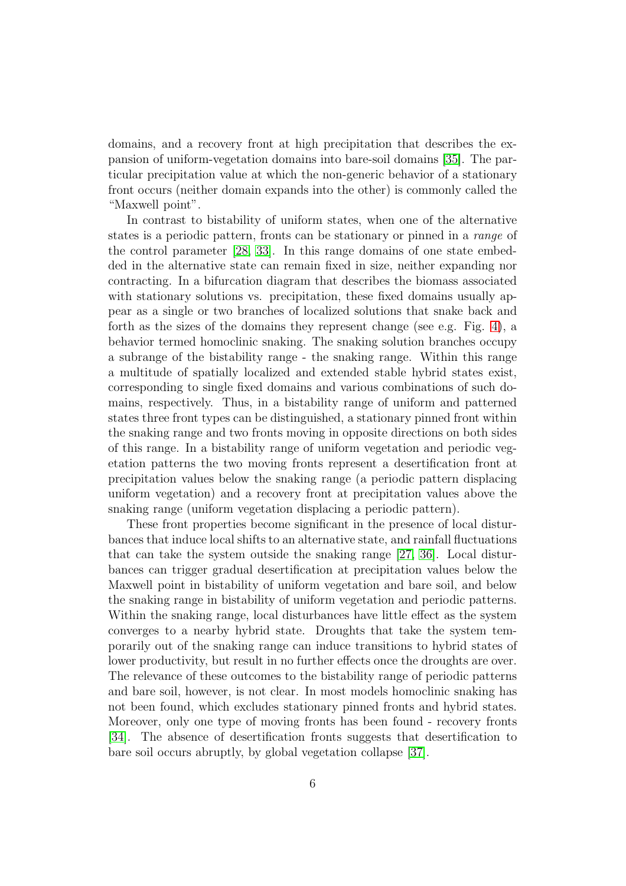domains, and a recovery front at high precipitation that describes the expansion of uniform-vegetation domains into bare-soil domains [\[35\]](#page-24-11). The particular precipitation value at which the non-generic behavior of a stationary front occurs (neither domain expands into the other) is commonly called the "Maxwell point".

In contrast to bistability of uniform states, when one of the alternative states is a periodic pattern, fronts can be stationary or pinned in a *range* of the control parameter [\[28,](#page-24-3) [33\]](#page-24-8). In this range domains of one state embedded in the alternative state can remain fixed in size, neither expanding nor contracting. In a bifurcation diagram that describes the biomass associated with stationary solutions vs. precipitation, these fixed domains usually appear as a single or two branches of localized solutions that snake back and forth as the sizes of the domains they represent change (see e.g. Fig. [4\)](#page-22-7), a behavior termed homoclinic snaking. The snaking solution branches occupy a subrange of the bistability range - the snaking range. Within this range a multitude of spatially localized and extended stable hybrid states exist, corresponding to single fixed domains and various combinations of such domains, respectively. Thus, in a bistability range of uniform and patterned states three front types can be distinguished, a stationary pinned front within the snaking range and two fronts moving in opposite directions on both sides of this range. In a bistability range of uniform vegetation and periodic vegetation patterns the two moving fronts represent a desertification front at precipitation values below the snaking range (a periodic pattern displacing uniform vegetation) and a recovery front at precipitation values above the snaking range (uniform vegetation displacing a periodic pattern).

These front properties become significant in the presence of local disturbances that induce local shifts to an alternative state, and rainfall fluctuations that can take the system outside the snaking range [\[27,](#page-24-2) [36\]](#page-24-10). Local disturbances can trigger gradual desertification at precipitation values below the Maxwell point in bistability of uniform vegetation and bare soil, and below the snaking range in bistability of uniform vegetation and periodic patterns. Within the snaking range, local disturbances have little effect as the system converges to a nearby hybrid state. Droughts that take the system temporarily out of the snaking range can induce transitions to hybrid states of lower productivity, but result in no further effects once the droughts are over. The relevance of these outcomes to the bistability range of periodic patterns and bare soil, however, is not clear. In most models homoclinic snaking has not been found, which excludes stationary pinned fronts and hybrid states. Moreover, only one type of moving fronts has been found - recovery fronts [\[34\]](#page-24-9). The absence of desertification fronts suggests that desertification to bare soil occurs abruptly, by global vegetation collapse [\[37\]](#page-25-0).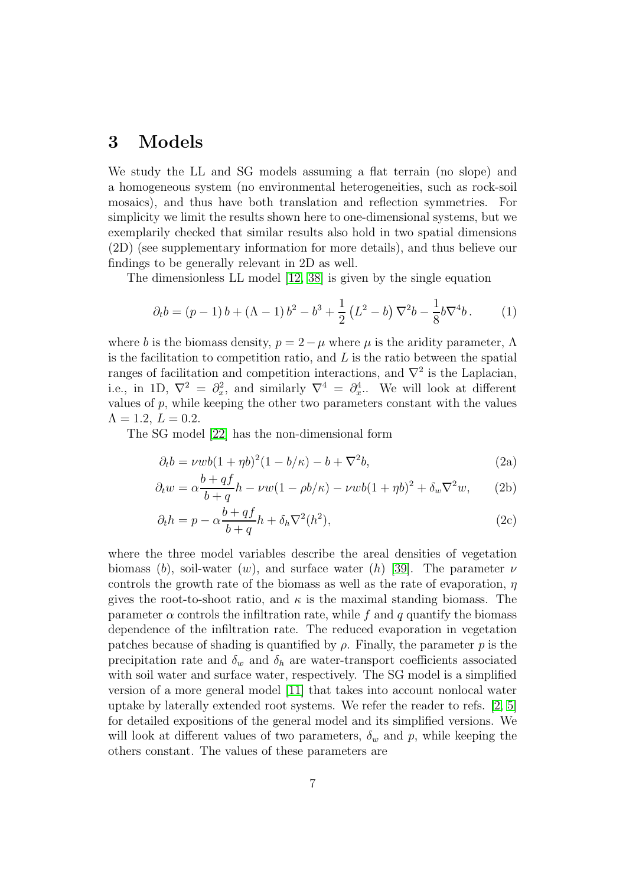#### 3 Models

We study the LL and SG models assuming a flat terrain (no slope) and a homogeneous system (no environmental heterogeneities, such as rock-soil mosaics), and thus have both translation and reflection symmetries. For simplicity we limit the results shown here to one-dimensional systems, but we exemplarily checked that similar results also hold in two spatial dimensions (2D) (see supplementary information for more details), and thus believe our findings to be generally relevant in 2D as well.

The dimensionless LL model [\[12,](#page-22-5) [38\]](#page-25-1) is given by the single equation

$$
\partial_t b = (p-1)b + (\Lambda - 1)b^2 - b^3 + \frac{1}{2}(L^2 - b)\nabla^2 b - \frac{1}{8}b\nabla^4 b.
$$
 (1)

where b is the biomass density,  $p = 2 - \mu$  where  $\mu$  is the aridity parameter,  $\Lambda$ is the facilitation to competition ratio, and  $L$  is the ratio between the spatial ranges of facilitation and competition interactions, and  $\nabla^2$  is the Laplacian, i.e., in 1D,  $\nabla^2 = \partial_x^2$  $x^2$ , and similarly  $\nabla^4 = \partial_x^4$  $x^4$ .. We will look at different values of  $p$ , while keeping the other two parameters constant with the values  $\Lambda = 1.2, L = 0.2.$ 

The SG model [\[22\]](#page-23-8) has the non-dimensional form

$$
\partial_t b = \nu w b (1 + \eta b)^2 (1 - b/\kappa) - b + \nabla^2 b,\tag{2a}
$$

$$
\partial_t w = \alpha \frac{b + qf}{b + q} h - \nu w (1 - \rho b/\kappa) - \nu w b (1 + \eta b)^2 + \delta_w \nabla^2 w, \qquad (2b)
$$

$$
\partial_t h = p - \alpha \frac{b + qf}{b + q} h + \delta_h \nabla^2(h^2),\tag{2c}
$$

where the three model variables describe the areal densities of vegetation biomass (b), soil-water (w), and surface water (h) [\[39\]](#page-25-2). The parameter  $\nu$ controls the growth rate of the biomass as well as the rate of evaporation,  $\eta$ gives the root-to-shoot ratio, and  $\kappa$  is the maximal standing biomass. The parameter  $\alpha$  controls the infiltration rate, while f and q quantify the biomass dependence of the infiltration rate. The reduced evaporation in vegetation patches because of shading is quantified by  $\rho$ . Finally, the parameter p is the precipitation rate and  $\delta_w$  and  $\delta_h$  are water-transport coefficients associated with soil water and surface water, respectively. The SG model is a simplified version of a more general model [\[11\]](#page-22-4) that takes into account nonlocal water uptake by laterally extended root systems. We refer the reader to refs. [\[2,](#page-21-1) [5\]](#page-21-4) for detailed expositions of the general model and its simplified versions. We will look at different values of two parameters,  $\delta_w$  and p, while keeping the others constant. The values of these parameters are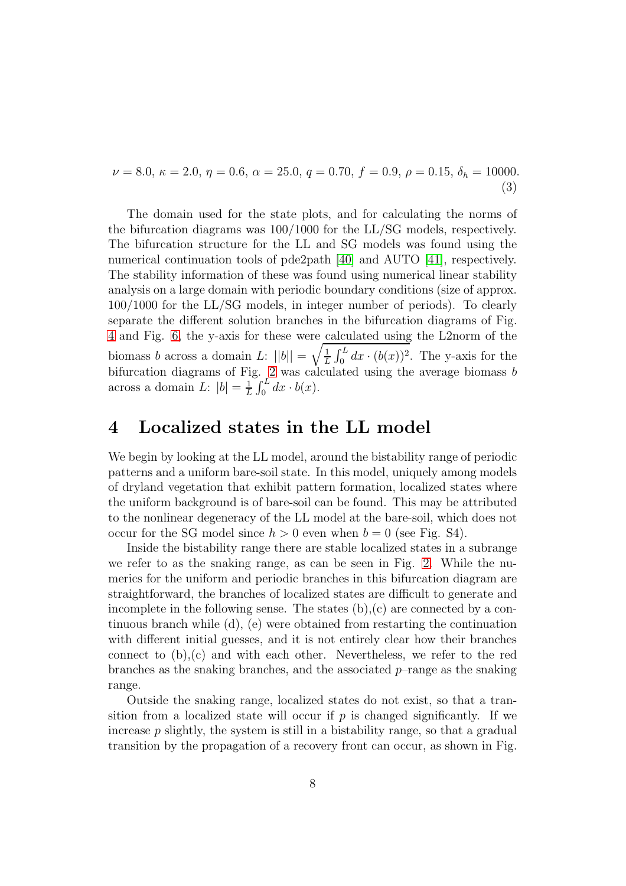<span id="page-7-0"></span> $\nu = 8.0, \, \kappa = 2.0, \, \eta = 0.6, \, \alpha = 25.0, \, q = 0.70, \, f = 0.9, \, \rho = 0.15, \, \delta_h = 10000.$ (3)

The domain used for the state plots, and for calculating the norms of the bifurcation diagrams was 100/1000 for the LL/SG models, respectively. The bifurcation structure for the LL and SG models was found using the numerical continuation tools of pde2path [\[40\]](#page-25-3) and AUTO [\[41\]](#page-25-4), respectively. The stability information of these was found using numerical linear stability analysis on a large domain with periodic boundary conditions (size of approx. 100/1000 for the LL/SG models, in integer number of periods). To clearly separate the different solution branches in the bifurcation diagrams of Fig. [4](#page-22-7) and Fig. [6,](#page-12-0) the y-axis for these were calculated using the L2norm of the biomass *b* across a domain L:  $||b|| = \sqrt{\frac{1}{L}}$  $\frac{1}{L} \int_0^L dx \cdot (b(x))^2$ . The y-axis for the bifurcation diagrams of Fig. [2](#page-20-0) was calculated using the average biomass b across a domain L:  $|b| = \frac{1}{l}$  $\frac{1}{L}\int_0^L dx \cdot b(x)$ .

#### 4 Localized states in the LL model

We begin by looking at the LL model, around the bistability range of periodic patterns and a uniform bare-soil state. In this model, uniquely among models of dryland vegetation that exhibit pattern formation, localized states where the uniform background is of bare-soil can be found. This may be attributed to the nonlinear degeneracy of the LL model at the bare-soil, which does not occur for the SG model since  $h > 0$  even when  $b = 0$  (see Fig. S4).

Inside the bistability range there are stable localized states in a subrange we refer to as the snaking range, as can be seen in Fig. [2.](#page-20-0) While the numerics for the uniform and periodic branches in this bifurcation diagram are straightforward, the branches of localized states are difficult to generate and incomplete in the following sense. The states  $(b)$ ,  $(c)$  are connected by a continuous branch while (d), (e) were obtained from restarting the continuation with different initial guesses, and it is not entirely clear how their branches connect to (b),(c) and with each other. Nevertheless, we refer to the red branches as the snaking branches, and the associated  $p$ –range as the snaking range.

Outside the snaking range, localized states do not exist, so that a transition from a localized state will occur if  $p$  is changed significantly. If we increase  $p$  slightly, the system is still in a bistability range, so that a gradual transition by the propagation of a recovery front can occur, as shown in Fig.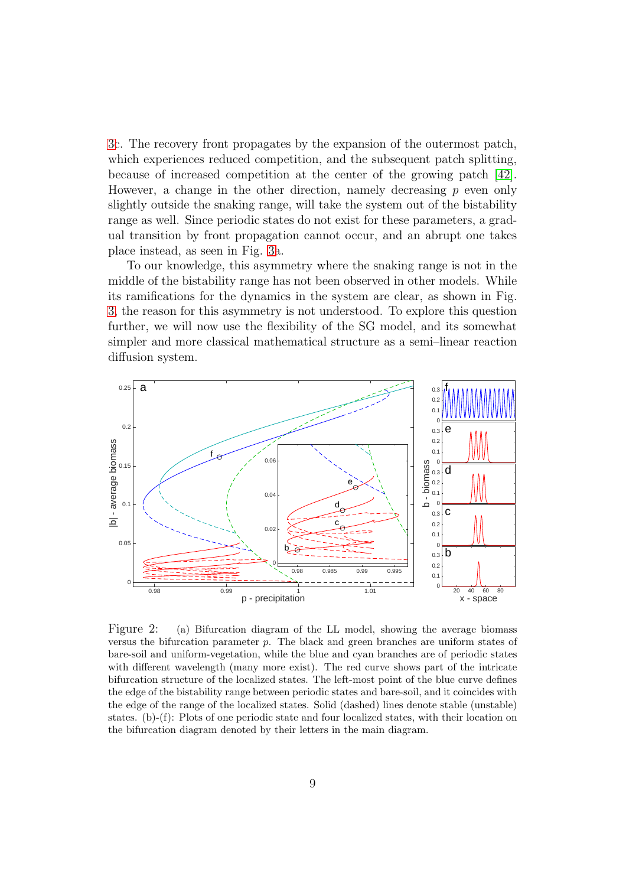[3c](#page-21-6). The recovery front propagates by the expansion of the outermost patch, which experiences reduced competition, and the subsequent patch splitting, because of increased competition at the center of the growing patch [\[42\]](#page-25-5). However, a change in the other direction, namely decreasing  $p$  even only slightly outside the snaking range, will take the system out of the bistability range as well. Since periodic states do not exist for these parameters, a gradual transition by front propagation cannot occur, and an abrupt one takes place instead, as seen in Fig. [3a](#page-21-6).

To our knowledge, this asymmetry where the snaking range is not in the middle of the bistability range has not been observed in other models. While its ramifications for the dynamics in the system are clear, as shown in Fig. [3,](#page-21-6) the reason for this asymmetry is not understood. To explore this question further, we will now use the flexibility of the SG model, and its somewhat simpler and more classical mathematical structure as a semi–linear reaction diffusion system.



Figure 2: (a) Bifurcation diagram of the LL model, showing the average biomass versus the bifurcation parameter  $p$ . The black and green branches are uniform states of bare-soil and uniform-vegetation, while the blue and cyan branches are of periodic states with different wavelength (many more exist). The red curve shows part of the intricate bifurcation structure of the localized states. The left-most point of the blue curve defines the edge of the bistability range between periodic states and bare-soil, and it coincides with the edge of the range of the localized states. Solid (dashed) lines denote stable (unstable) states. (b)-(f): Plots of one periodic state and four localized states, with their location on the bifurcation diagram denoted by their letters in the main diagram.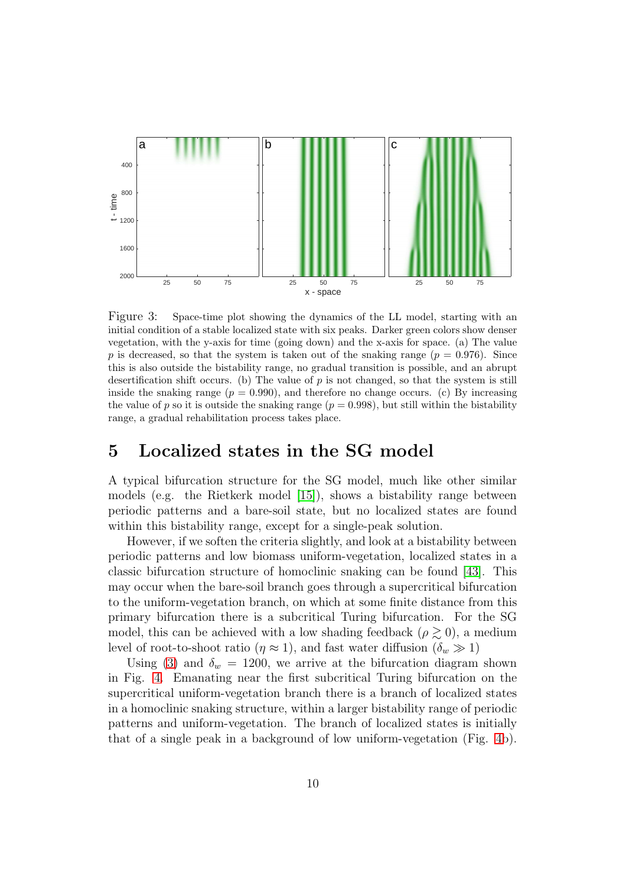

Figure 3: Space-time plot showing the dynamics of the LL model, starting with an initial condition of a stable localized state with six peaks. Darker green colors show denser vegetation, with the y-axis for time (going down) and the x-axis for space. (a) The value p is decreased, so that the system is taken out of the snaking range ( $p = 0.976$ ). Since this is also outside the bistability range, no gradual transition is possible, and an abrupt desertification shift occurs. (b) The value of  $p$  is not changed, so that the system is still inside the snaking range ( $p = 0.990$ ), and therefore no change occurs. (c) By increasing the value of p so it is outside the snaking range  $(p = 0.998)$ , but still within the bistability range, a gradual rehabilitation process takes place.

#### 5 Localized states in the SG model

A typical bifurcation structure for the SG model, much like other similar models (e.g. the Rietkerk model [\[15\]](#page-23-1)), shows a bistability range between periodic patterns and a bare-soil state, but no localized states are found within this bistability range, except for a single-peak solution.

However, if we soften the criteria slightly, and look at a bistability between periodic patterns and low biomass uniform-vegetation, localized states in a classic bifurcation structure of homoclinic snaking can be found [\[43\]](#page-25-6). This may occur when the bare-soil branch goes through a supercritical bifurcation to the uniform-vegetation branch, on which at some finite distance from this primary bifurcation there is a subcritical Turing bifurcation. For the SG model, this can be achieved with a low shading feedback ( $\rho \gtrsim 0$ ), a medium level of root-to-shoot ratio  $(\eta \approx 1)$ , and fast water diffusion  $(\delta_w \gg 1)$ 

Using [\(3\)](#page-7-0) and  $\delta_w = 1200$ , we arrive at the bifurcation diagram shown in Fig. [4.](#page-22-7) Emanating near the first subcritical Turing bifurcation on the supercritical uniform-vegetation branch there is a branch of localized states in a homoclinic snaking structure, within a larger bistability range of periodic patterns and uniform-vegetation. The branch of localized states is initially that of a single peak in a background of low uniform-vegetation (Fig. [4b](#page-22-7)).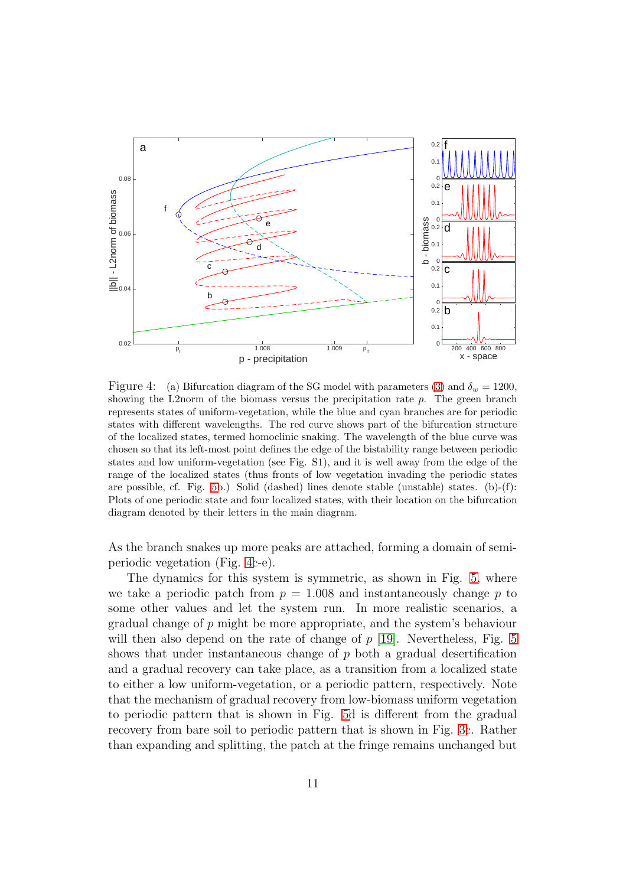

Figure 4: (a) Bifurcation diagram of the SG model with parameters [\(3\)](#page-7-0) and  $\delta_w = 1200$ , showing the L2norm of the biomass versus the precipitation rate  $p$ . The green branch represents states of uniform-vegetation, while the blue and cyan branches are for periodic states with different wavelengths. The red curve shows part of the bifurcation structure of the localized states, termed homoclinic snaking. The wavelength of the blue curve was chosen so that its left-most point defines the edge of the bistability range between periodic states and low uniform-vegetation (see Fig. S1), and it is well away from the edge of the range of the localized states (thus fronts of low vegetation invading the periodic states are possible, cf. Fig. [5b](#page-11-0).) Solid (dashed) lines denote stable (unstable) states. (b)-(f): Plots of one periodic state and four localized states, with their location on the bifurcation diagram denoted by their letters in the main diagram.

As the branch snakes up more peaks are attached, forming a domain of semiperiodic vegetation (Fig. [4c](#page-22-7)-e).

The dynamics for this system is symmetric, as shown in Fig. [5,](#page-11-0) where we take a periodic patch from  $p = 1.008$  and instantaneously change p to some other values and let the system run. In more realistic scenarios, a gradual change of p might be more appropriate, and the system's behaviour will then also depend on the rate of change of  $p$  [\[19\]](#page-23-5). Nevertheless, Fig. [5](#page-11-0) shows that under instantaneous change of  $p$  both a gradual desertification and a gradual recovery can take place, as a transition from a localized state to either a low uniform-vegetation, or a periodic pattern, respectively. Note that the mechanism of gradual recovery from low-biomass uniform vegetation to periodic pattern that is shown in Fig. [5d](#page-11-0) is different from the gradual recovery from bare soil to periodic pattern that is shown in Fig. [3c](#page-21-6). Rather than expanding and splitting, the patch at the fringe remains unchanged but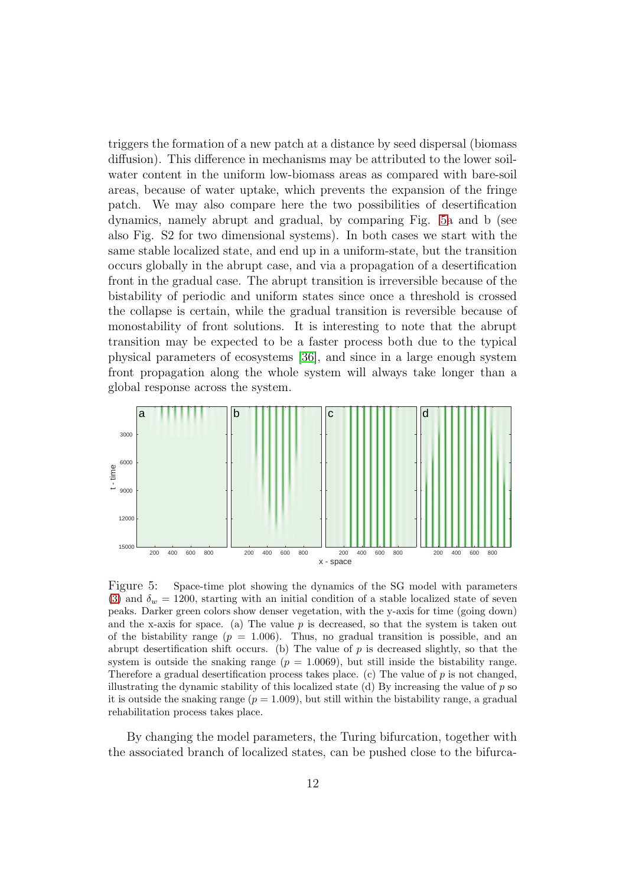triggers the formation of a new patch at a distance by seed dispersal (biomass diffusion). This difference in mechanisms may be attributed to the lower soilwater content in the uniform low-biomass areas as compared with bare-soil areas, because of water uptake, which prevents the expansion of the fringe patch. We may also compare here the two possibilities of desertification dynamics, namely abrupt and gradual, by comparing Fig. [5a](#page-11-0) and b (see also Fig. S2 for two dimensional systems). In both cases we start with the same stable localized state, and end up in a uniform-state, but the transition occurs globally in the abrupt case, and via a propagation of a desertification front in the gradual case. The abrupt transition is irreversible because of the bistability of periodic and uniform states since once a threshold is crossed the collapse is certain, while the gradual transition is reversible because of monostability of front solutions. It is interesting to note that the abrupt transition may be expected to be a faster process both due to the typical physical parameters of ecosystems [\[36\]](#page-24-10), and since in a large enough system front propagation along the whole system will always take longer than a global response across the system.



<span id="page-11-0"></span>Figure 5: Space-time plot showing the dynamics of the SG model with parameters [\(3\)](#page-7-0) and  $\delta_w = 1200$ , starting with an initial condition of a stable localized state of seven peaks. Darker green colors show denser vegetation, with the y-axis for time (going down) and the x-axis for space. (a) The value  $p$  is decreased, so that the system is taken out of the bistability range  $(p = 1.006)$ . Thus, no gradual transition is possible, and an abrupt desertification shift occurs. (b) The value of  $p$  is decreased slightly, so that the system is outside the snaking range  $(p = 1.0069)$ , but still inside the bistability range. Therefore a gradual desertification process takes place. (c) The value of  $p$  is not changed, illustrating the dynamic stability of this localized state  $(d)$  By increasing the value of  $p$  so it is outside the snaking range  $(p = 1.009)$ , but still within the bistability range, a gradual rehabilitation process takes place.

By changing the model parameters, the Turing bifurcation, together with the associated branch of localized states, can be pushed close to the bifurca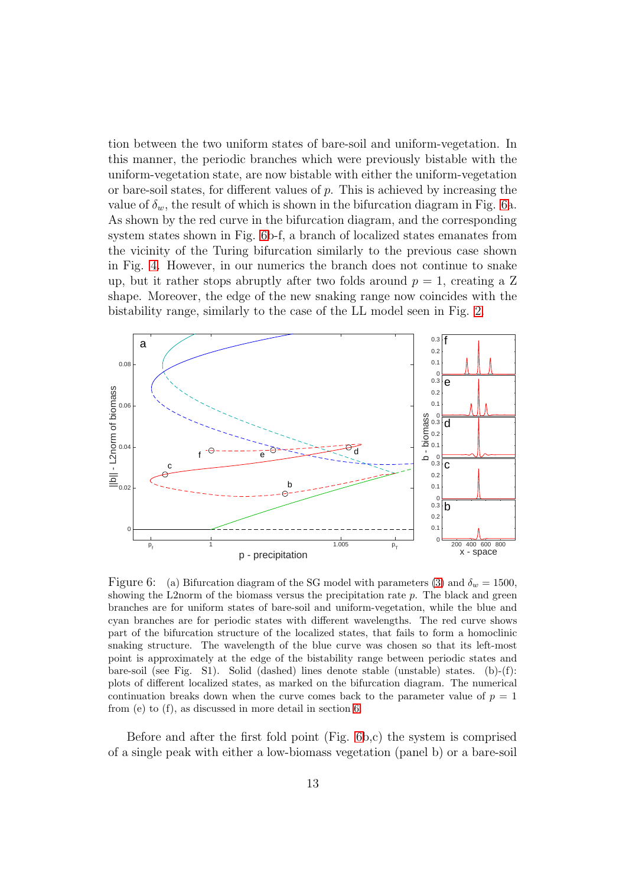tion between the two uniform states of bare-soil and uniform-vegetation. In this manner, the periodic branches which were previously bistable with the uniform-vegetation state, are now bistable with either the uniform-vegetation or bare-soil states, for different values of  $p$ . This is achieved by increasing the value of  $\delta_w$ , the result of which is shown in the bifurcation diagram in Fig. [6a](#page-12-0). As shown by the red curve in the bifurcation diagram, and the corresponding system states shown in Fig. [6b](#page-12-0)-f, a branch of localized states emanates from the vicinity of the Turing bifurcation similarly to the previous case shown in Fig. [4.](#page-22-7) However, in our numerics the branch does not continue to snake up, but it rather stops abruptly after two folds around  $p = 1$ , creating a Z shape. Moreover, the edge of the new snaking range now coincides with the bistability range, similarly to the case of the LL model seen in Fig. [2.](#page-20-0)



<span id="page-12-0"></span>Figure 6: (a) Bifurcation diagram of the SG model with parameters [\(3\)](#page-7-0) and  $\delta_w = 1500$ , showing the L2norm of the biomass versus the precipitation rate  $p$ . The black and green branches are for uniform states of bare-soil and uniform-vegetation, while the blue and cyan branches are for periodic states with different wavelengths. The red curve shows part of the bifurcation structure of the localized states, that fails to form a homoclinic snaking structure. The wavelength of the blue curve was chosen so that its left-most point is approximately at the edge of the bistability range between periodic states and bare-soil (see Fig. S1). Solid (dashed) lines denote stable (unstable) states. (b)-(f): plots of different localized states, as marked on the bifurcation diagram. The numerical continuation breaks down when the curve comes back to the parameter value of  $p = 1$ from (e) to (f), as discussed in more detail in section [6.](#page-13-0)

Before and after the first fold point (Fig. [6b](#page-12-0),c) the system is comprised of a single peak with either a low-biomass vegetation (panel b) or a bare-soil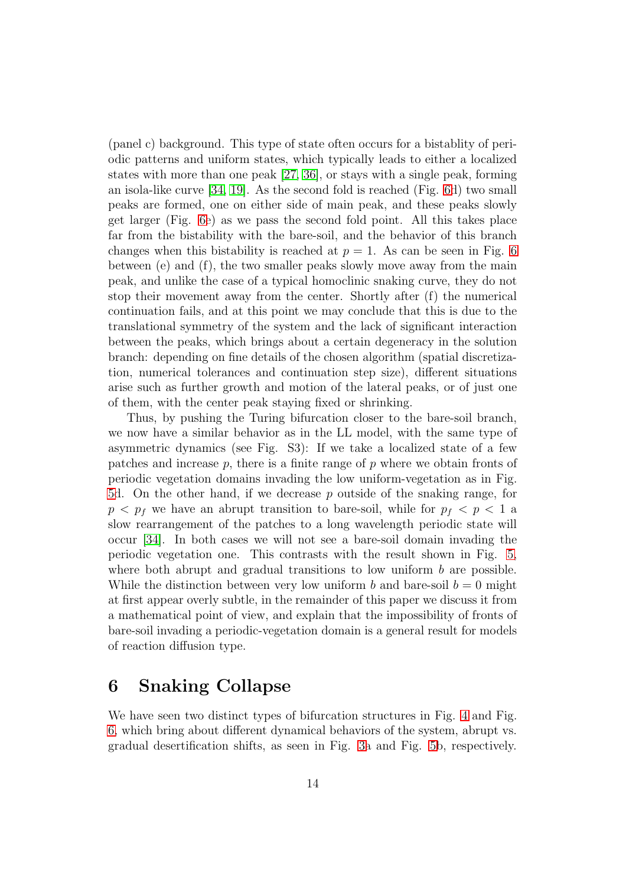(panel c) background. This type of state often occurs for a bistablity of periodic patterns and uniform states, which typically leads to either a localized states with more than one peak [\[27,](#page-24-2) [36\]](#page-24-10), or stays with a single peak, forming an isola-like curve [\[34,](#page-24-9) [19\]](#page-23-5). As the second fold is reached (Fig. [6d](#page-12-0)) two small peaks are formed, one on either side of main peak, and these peaks slowly get larger (Fig. [6e](#page-12-0)) as we pass the second fold point. All this takes place far from the bistability with the bare-soil, and the behavior of this branch changes when this bistability is reached at  $p = 1$ . As can be seen in Fig. [6](#page-12-0) between (e) and (f), the two smaller peaks slowly move away from the main peak, and unlike the case of a typical homoclinic snaking curve, they do not stop their movement away from the center. Shortly after (f) the numerical continuation fails, and at this point we may conclude that this is due to the translational symmetry of the system and the lack of significant interaction between the peaks, which brings about a certain degeneracy in the solution branch: depending on fine details of the chosen algorithm (spatial discretization, numerical tolerances and continuation step size), different situations arise such as further growth and motion of the lateral peaks, or of just one of them, with the center peak staying fixed or shrinking.

Thus, by pushing the Turing bifurcation closer to the bare-soil branch, we now have a similar behavior as in the LL model, with the same type of asymmetric dynamics (see Fig. S3): If we take a localized state of a few patches and increase  $p$ , there is a finite range of  $p$  where we obtain fronts of periodic vegetation domains invading the low uniform-vegetation as in Fig. [5d](#page-11-0). On the other hand, if we decrease p outside of the snaking range, for  $p < p_f$  we have an abrupt transition to bare-soil, while for  $p_f < p < 1$  a slow rearrangement of the patches to a long wavelength periodic state will occur [\[34\]](#page-24-9). In both cases we will not see a bare-soil domain invading the periodic vegetation one. This contrasts with the result shown in Fig. [5,](#page-11-0) where both abrupt and gradual transitions to low uniform  $b$  are possible. While the distinction between very low uniform b and bare-soil  $b = 0$  might at first appear overly subtle, in the remainder of this paper we discuss it from a mathematical point of view, and explain that the impossibility of fronts of bare-soil invading a periodic-vegetation domain is a general result for models of reaction diffusion type.

### <span id="page-13-0"></span>6 Snaking Collapse

We have seen two distinct types of bifurcation structures in Fig. [4](#page-22-7) and Fig. [6,](#page-12-0) which bring about different dynamical behaviors of the system, abrupt vs. gradual desertification shifts, as seen in Fig. [3a](#page-21-6) and Fig. [5b](#page-11-0), respectively.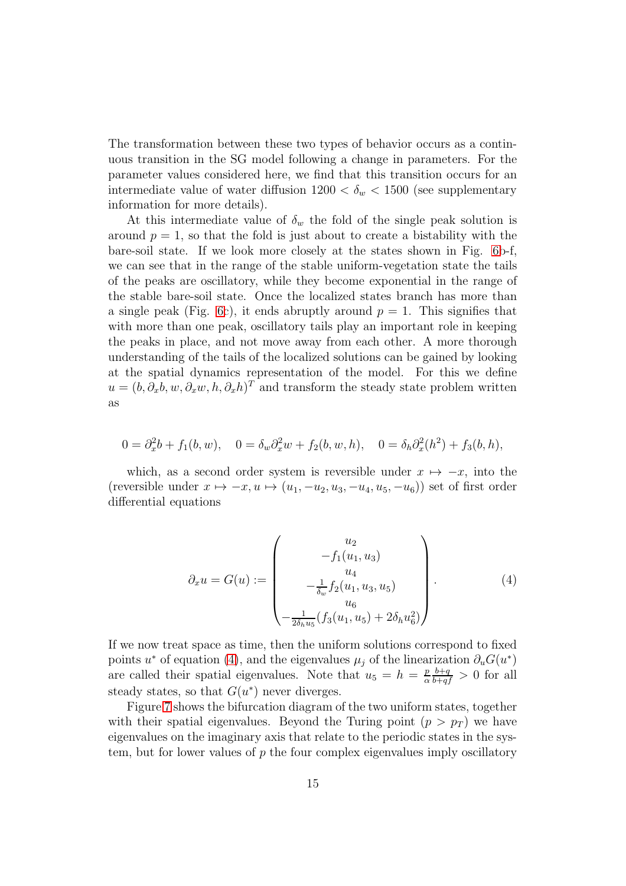The transformation between these two types of behavior occurs as a continuous transition in the SG model following a change in parameters. For the parameter values considered here, we find that this transition occurs for an intermediate value of water diffusion  $1200 < \delta_w < 1500$  (see supplementary information for more details).

At this intermediate value of  $\delta_w$  the fold of the single peak solution is around  $p = 1$ , so that the fold is just about to create a bistability with the bare-soil state. If we look more closely at the states shown in Fig. [6b](#page-12-0)-f, we can see that in the range of the stable uniform-vegetation state the tails of the peaks are oscillatory, while they become exponential in the range of the stable bare-soil state. Once the localized states branch has more than a single peak (Fig. [6c](#page-12-0)), it ends abruptly around  $p = 1$ . This signifies that with more than one peak, oscillatory tails play an important role in keeping the peaks in place, and not move away from each other. A more thorough understanding of the tails of the localized solutions can be gained by looking at the spatial dynamics representation of the model. For this we define  $u = (b, \partial_x b, w, \partial_x w, h, \partial_x h)^T$  and transform the steady state problem written as

$$
0 = \partial_x^2 b + f_1(b, w), \quad 0 = \delta_w \partial_x^2 w + f_2(b, w, h), \quad 0 = \delta_h \partial_x^2(h^2) + f_3(b, h),
$$

which, as a second order system is reversible under  $x \mapsto -x$ , into the (reversible under  $x \mapsto -x, u \mapsto (u_1, -u_2, u_3, -u_4, u_5, -u_6)$ ) set of first order differential equations

<span id="page-14-0"></span>
$$
\partial_x u = G(u) := \begin{pmatrix} u_2 \\ -f_1(u_1, u_3) \\ u_4 \\ -\frac{1}{\delta_w} f_2(u_1, u_3, u_5) \\ u_6 \\ -\frac{1}{2\delta_h u_5} (f_3(u_1, u_5) + 2\delta_h u_6^2) \end{pmatrix} . \tag{4}
$$

If we now treat space as time, then the uniform solutions correspond to fixed points u<sup>\*</sup> of equation [\(4\)](#page-14-0), and the eigenvalues  $\mu_j$  of the linearization  $\partial_u G(u^*)$ are called their spatial eigenvalues. Note that  $u_5 = h = \frac{p}{\alpha}$ α  $\frac{b+q}{b+qf} > 0$  for all steady states, so that  $G(u^*)$  never diverges.

Figure [7](#page-16-0) shows the bifurcation diagram of the two uniform states, together with their spatial eigenvalues. Beyond the Turing point  $(p > p<sub>T</sub>)$  we have eigenvalues on the imaginary axis that relate to the periodic states in the system, but for lower values of  $p$  the four complex eigenvalues imply oscillatory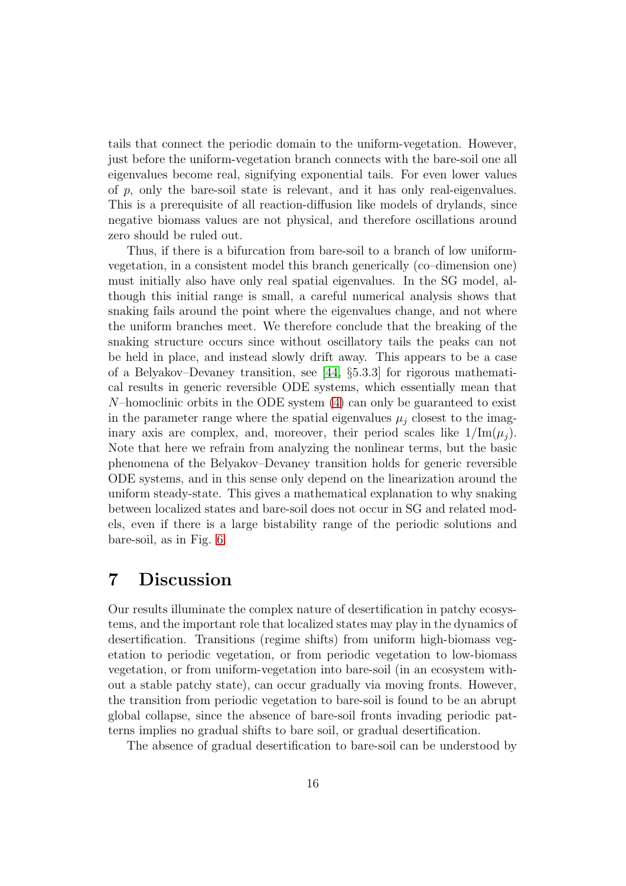tails that connect the periodic domain to the uniform-vegetation. However, just before the uniform-vegetation branch connects with the bare-soil one all eigenvalues become real, signifying exponential tails. For even lower values of  $p$ , only the bare-soil state is relevant, and it has only real-eigenvalues. This is a prerequisite of all reaction-diffusion like models of drylands, since negative biomass values are not physical, and therefore oscillations around zero should be ruled out.

Thus, if there is a bifurcation from bare-soil to a branch of low uniformvegetation, in a consistent model this branch generically (co–dimension one) must initially also have only real spatial eigenvalues. In the SG model, although this initial range is small, a careful numerical analysis shows that snaking fails around the point where the eigenvalues change, and not where the uniform branches meet. We therefore conclude that the breaking of the snaking structure occurs since without oscillatory tails the peaks can not be held in place, and instead slowly drift away. This appears to be a case of a Belyakov–Devaney transition, see [\[44,](#page-25-7) §5.3.3] for rigorous mathematical results in generic reversible ODE systems, which essentially mean that  $N$ –homoclinic orbits in the ODE system  $(4)$  can only be guaranteed to exist in the parameter range where the spatial eigenvalues  $\mu_i$  closest to the imaginary axis are complex, and, moreover, their period scales like  $1/\text{Im}(\mu_i)$ . Note that here we refrain from analyzing the nonlinear terms, but the basic phenomena of the Belyakov–Devaney transition holds for generic reversible ODE systems, and in this sense only depend on the linearization around the uniform steady-state. This gives a mathematical explanation to why snaking between localized states and bare-soil does not occur in SG and related models, even if there is a large bistability range of the periodic solutions and bare-soil, as in Fig. [6.](#page-12-0)

#### 7 Discussion

Our results illuminate the complex nature of desertification in patchy ecosystems, and the important role that localized states may play in the dynamics of desertification. Transitions (regime shifts) from uniform high-biomass vegetation to periodic vegetation, or from periodic vegetation to low-biomass vegetation, or from uniform-vegetation into bare-soil (in an ecosystem without a stable patchy state), can occur gradually via moving fronts. However, the transition from periodic vegetation to bare-soil is found to be an abrupt global collapse, since the absence of bare-soil fronts invading periodic patterns implies no gradual shifts to bare soil, or gradual desertification.

The absence of gradual desertification to bare-soil can be understood by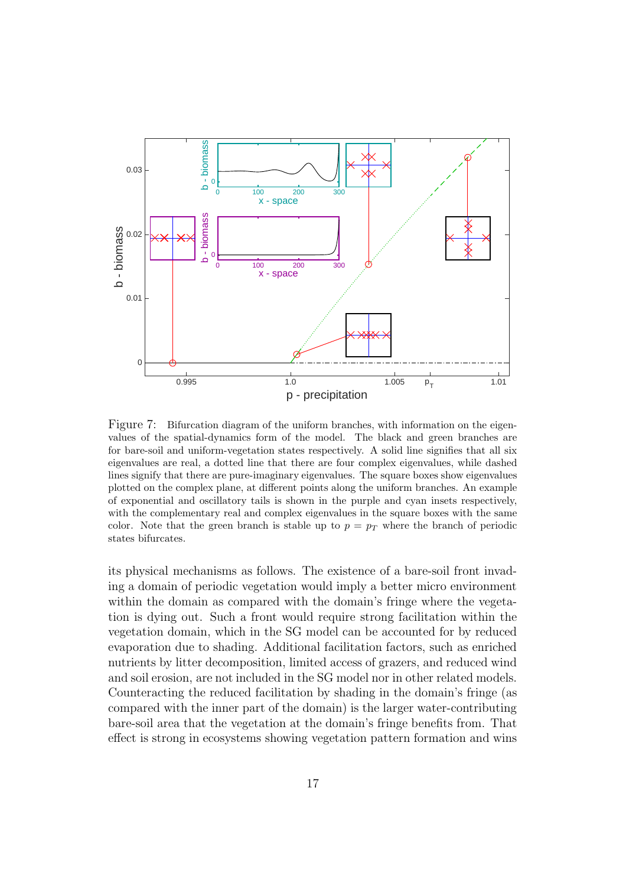

<span id="page-16-0"></span>Figure 7: Bifurcation diagram of the uniform branches, with information on the eigenvalues of the spatial-dynamics form of the model. The black and green branches are for bare-soil and uniform-vegetation states respectively. A solid line signifies that all six eigenvalues are real, a dotted line that there are four complex eigenvalues, while dashed lines signify that there are pure-imaginary eigenvalues. The square boxes show eigenvalues plotted on the complex plane, at different points along the uniform branches. An example of exponential and oscillatory tails is shown in the purple and cyan insets respectively, with the complementary real and complex eigenvalues in the square boxes with the same color. Note that the green branch is stable up to  $p = p<sub>T</sub>$  where the branch of periodic states bifurcates.

its physical mechanisms as follows. The existence of a bare-soil front invading a domain of periodic vegetation would imply a better micro environment within the domain as compared with the domain's fringe where the vegetation is dying out. Such a front would require strong facilitation within the vegetation domain, which in the SG model can be accounted for by reduced evaporation due to shading. Additional facilitation factors, such as enriched nutrients by litter decomposition, limited access of grazers, and reduced wind and soil erosion, are not included in the SG model nor in other related models. Counteracting the reduced facilitation by shading in the domain's fringe (as compared with the inner part of the domain) is the larger water-contributing bare-soil area that the vegetation at the domain's fringe benefits from. That effect is strong in ecosystems showing vegetation pattern formation and wins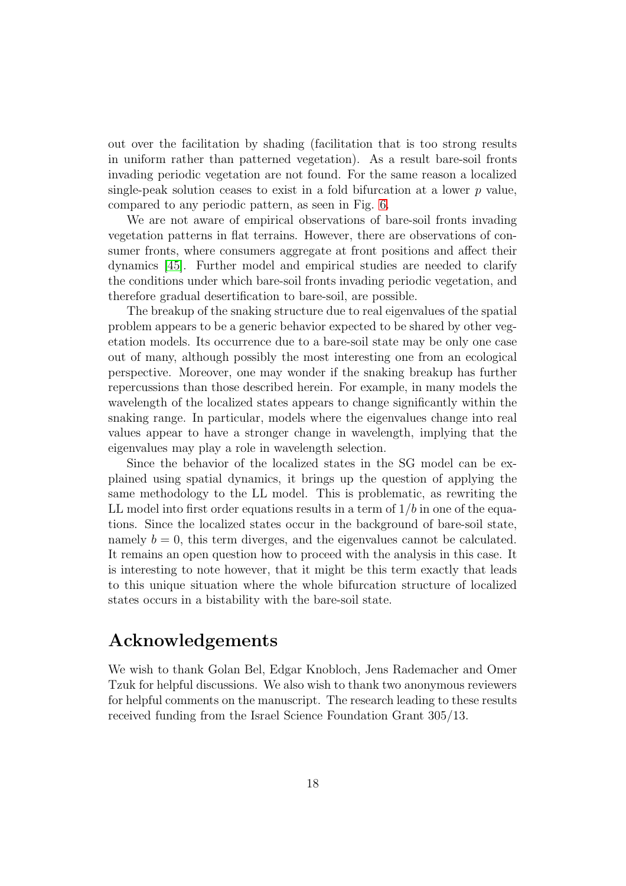out over the facilitation by shading (facilitation that is too strong results in uniform rather than patterned vegetation). As a result bare-soil fronts invading periodic vegetation are not found. For the same reason a localized single-peak solution ceases to exist in a fold bifurcation at a lower  $p$  value, compared to any periodic pattern, as seen in Fig. [6.](#page-12-0)

We are not aware of empirical observations of bare-soil fronts invading vegetation patterns in flat terrains. However, there are observations of consumer fronts, where consumers aggregate at front positions and affect their dynamics [\[45\]](#page-25-8). Further model and empirical studies are needed to clarify the conditions under which bare-soil fronts invading periodic vegetation, and therefore gradual desertification to bare-soil, are possible.

The breakup of the snaking structure due to real eigenvalues of the spatial problem appears to be a generic behavior expected to be shared by other vegetation models. Its occurrence due to a bare-soil state may be only one case out of many, although possibly the most interesting one from an ecological perspective. Moreover, one may wonder if the snaking breakup has further repercussions than those described herein. For example, in many models the wavelength of the localized states appears to change significantly within the snaking range. In particular, models where the eigenvalues change into real values appear to have a stronger change in wavelength, implying that the eigenvalues may play a role in wavelength selection.

Since the behavior of the localized states in the SG model can be explained using spatial dynamics, it brings up the question of applying the same methodology to the LL model. This is problematic, as rewriting the LL model into first order equations results in a term of  $1/b$  in one of the equations. Since the localized states occur in the background of bare-soil state, namely  $b = 0$ , this term diverges, and the eigenvalues cannot be calculated. It remains an open question how to proceed with the analysis in this case. It is interesting to note however, that it might be this term exactly that leads to this unique situation where the whole bifurcation structure of localized states occurs in a bistability with the bare-soil state.

#### Acknowledgements

We wish to thank Golan Bel, Edgar Knobloch, Jens Rademacher and Omer Tzuk for helpful discussions. We also wish to thank two anonymous reviewers for helpful comments on the manuscript. The research leading to these results received funding from the Israel Science Foundation Grant 305/13.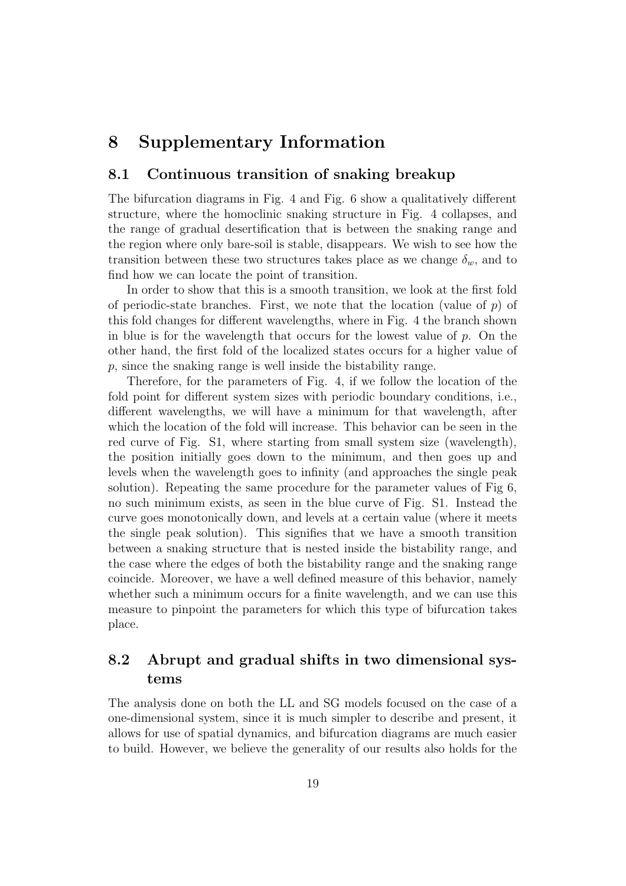## 8 Supplementary Information

#### 8.1 Continuous transition of snaking breakup

The bifurcation diagrams in Fig. 4 and Fig. 6 show a qualitatively different structure, where the homoclinic snaking structure in Fig. 4 collapses, and the range of gradual desertification that is between the snaking range and the region where only bare-soil is stable, disappears. We wish to see how the transition between these two structures takes place as we change  $\delta_w$ , and to find how we can locate the point of transition.

In order to show that this is a smooth transition, we look at the first fold of periodic-state branches. First, we note that the location (value of  $p$ ) of this fold changes for different wavelengths, where in Fig. 4 the branch shown in blue is for the wavelength that occurs for the lowest value of  $p$ . On the other hand, the first fold of the localized states occurs for a higher value of p, since the snaking range is well inside the bistability range.

Therefore, for the parameters of Fig. 4, if we follow the location of the fold point for different system sizes with periodic boundary conditions, i.e., different wavelengths, we will have a minimum for that wavelength, after which the location of the fold will increase. This behavior can be seen in the red curve of Fig. S1, where starting from small system size (wavelength), the position initially goes down to the minimum, and then goes up and levels when the wavelength goes to infinity (and approaches the single peak solution). Repeating the same procedure for the parameter values of Fig 6, no such minimum exists, as seen in the blue curve of Fig. S1. Instead the curve goes monotonically down, and levels at a certain value (where it meets the single peak solution). This signifies that we have a smooth transition between a snaking structure that is nested inside the bistability range, and the case where the edges of both the bistability range and the snaking range coincide. Moreover, we have a well defined measure of this behavior, namely whether such a minimum occurs for a finite wavelength, and we can use this measure to pinpoint the parameters for which this type of bifurcation takes place.

#### 8.2 Abrupt and gradual shifts in two dimensional systems

The analysis done on both the LL and SG models focused on the case of a one-dimensional system, since it is much simpler to describe and present, it allows for use of spatial dynamics, and bifurcation diagrams are much easier to build. However, we believe the generality of our results also holds for the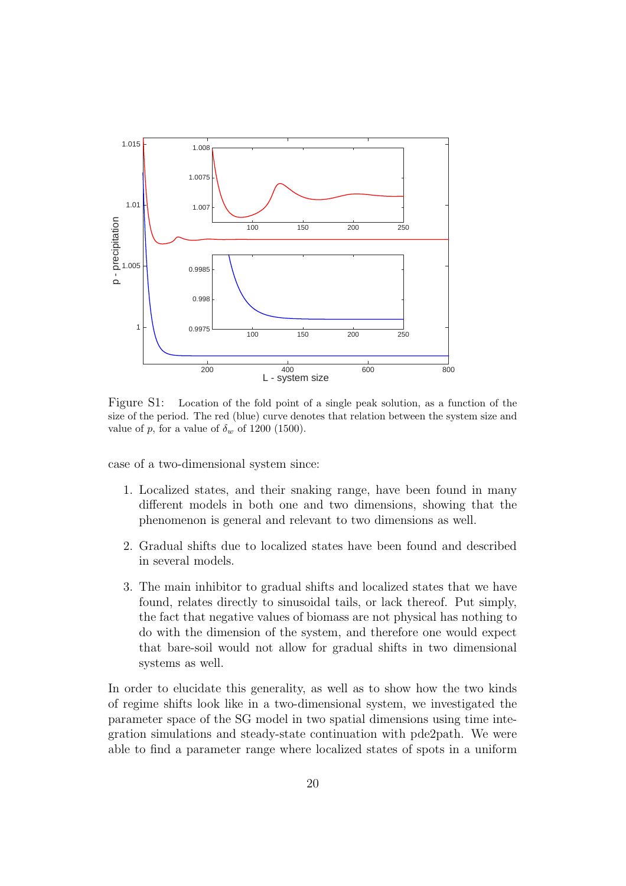

<span id="page-19-0"></span>Figure S1: Location of the fold point of a single peak solution, as a function of the size of the period. The red (blue) curve denotes that relation between the system size and value of p, for a value of  $\delta_w$  of 1200 (1500).

case of a two-dimensional system since:

- 1. Localized states, and their snaking range, have been found in many different models in both one and two dimensions, showing that the phenomenon is general and relevant to two dimensions as well.
- 2. Gradual shifts due to localized states have been found and described in several models.
- 3. The main inhibitor to gradual shifts and localized states that we have found, relates directly to sinusoidal tails, or lack thereof. Put simply, the fact that negative values of biomass are not physical has nothing to do with the dimension of the system, and therefore one would expect that bare-soil would not allow for gradual shifts in two dimensional systems as well.

In order to elucidate this generality, as well as to show how the two kinds of regime shifts look like in a two-dimensional system, we investigated the parameter space of the SG model in two spatial dimensions using time integration simulations and steady-state continuation with pde2path. We were able to find a parameter range where localized states of spots in a uniform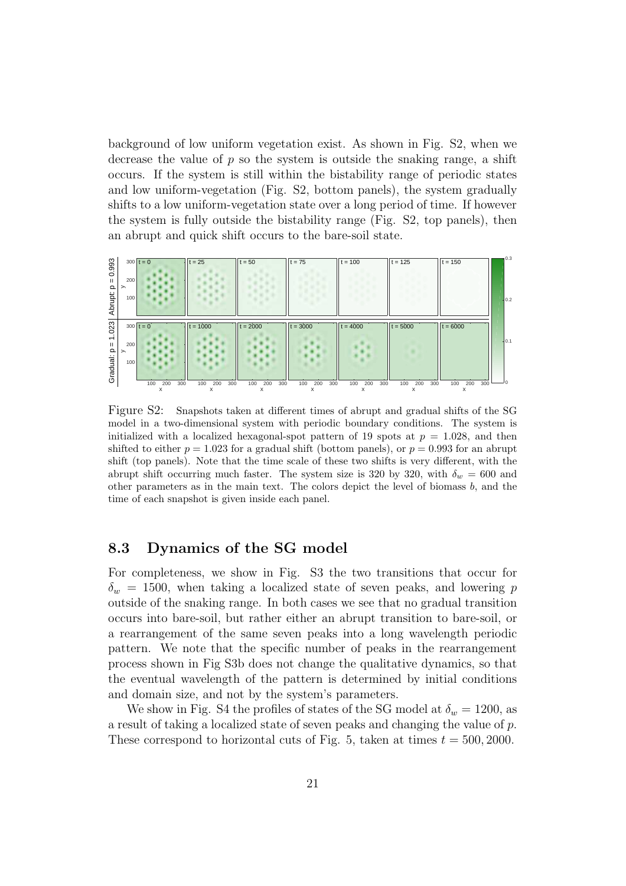background of low uniform vegetation exist. As shown in Fig. S2, when we decrease the value of  $p$  so the system is outside the snaking range, a shift occurs. If the system is still within the bistability range of periodic states and low uniform-vegetation (Fig. S2, bottom panels), the system gradually shifts to a low uniform-vegetation state over a long period of time. If however the system is fully outside the bistability range (Fig. S2, top panels), then an abrupt and quick shift occurs to the bare-soil state.



<span id="page-20-0"></span>Figure S2: Snapshots taken at different times of abrupt and gradual shifts of the SG model in a two-dimensional system with periodic boundary conditions. The system is initialized with a localized hexagonal-spot pattern of 19 spots at  $p = 1.028$ , and then shifted to either  $p = 1.023$  for a gradual shift (bottom panels), or  $p = 0.993$  for an abrupt shift (top panels). Note that the time scale of these two shifts is very different, with the abrupt shift occurring much faster. The system size is 320 by 320, with  $\delta_w = 600$  and other parameters as in the main text. The colors depict the level of biomass  $b$ , and the time of each snapshot is given inside each panel.

#### 8.3 Dynamics of the SG model

For completeness, we show in Fig. S3 the two transitions that occur for  $\delta_w = 1500$ , when taking a localized state of seven peaks, and lowering p outside of the snaking range. In both cases we see that no gradual transition occurs into bare-soil, but rather either an abrupt transition to bare-soil, or a rearrangement of the same seven peaks into a long wavelength periodic pattern. We note that the specific number of peaks in the rearrangement process shown in Fig S3b does not change the qualitative dynamics, so that the eventual wavelength of the pattern is determined by initial conditions and domain size, and not by the system's parameters.

We show in Fig. S4 the profiles of states of the SG model at  $\delta_w = 1200$ , as a result of taking a localized state of seven peaks and changing the value of p. These correspond to horizontal cuts of Fig. 5, taken at times  $t = 500, 2000$ .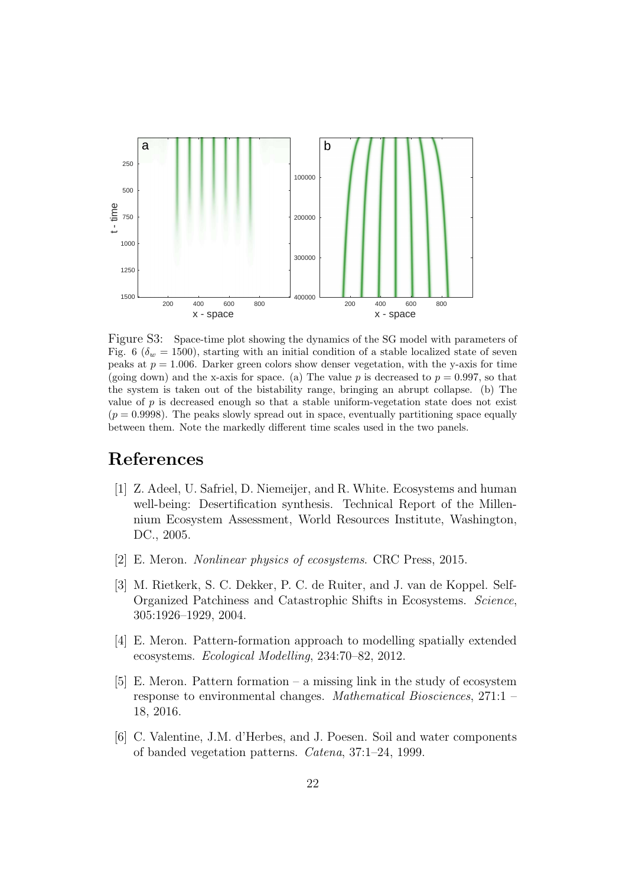

<span id="page-21-6"></span>Figure S3: Space-time plot showing the dynamics of the SG model with parameters of Fig. 6 ( $\delta_w = 1500$ ), starting with an initial condition of a stable localized state of seven peaks at  $p = 1.006$ . Darker green colors show denser vegetation, with the y-axis for time (going down) and the x-axis for space. (a) The value p is decreased to  $p = 0.997$ , so that the system is taken out of the bistability range, bringing an abrupt collapse. (b) The value of  $p$  is decreased enough so that a stable uniform-vegetation state does not exist  $(p = 0.9998)$ . The peaks slowly spread out in space, eventually partitioning space equally between them. Note the markedly different time scales used in the two panels.

## <span id="page-21-0"></span>References

- [1] Z. Adeel, U. Safriel, D. Niemeijer, and R. White. Ecosystems and human well-being: Desertification synthesis. Technical Report of the Millennium Ecosystem Assessment, World Resources Institute, Washington, DC., 2005.
- <span id="page-21-2"></span><span id="page-21-1"></span>[2] E. Meron. *Nonlinear physics of ecosystems*. CRC Press, 2015.
- [3] M. Rietkerk, S. C. Dekker, P. C. de Ruiter, and J. van de Koppel. Self-Organized Patchiness and Catastrophic Shifts in Ecosystems. *Science*, 305:1926–1929, 2004.
- <span id="page-21-4"></span><span id="page-21-3"></span>[4] E. Meron. Pattern-formation approach to modelling spatially extended ecosystems. *Ecological Modelling*, 234:70–82, 2012.
- [5] E. Meron. Pattern formation a missing link in the study of ecosystem response to environmental changes. *Mathematical Biosciences*, 271:1 – 18, 2016.
- <span id="page-21-5"></span>[6] C. Valentine, J.M. d'Herbes, and J. Poesen. Soil and water components of banded vegetation patterns. *Catena*, 37:1–24, 1999.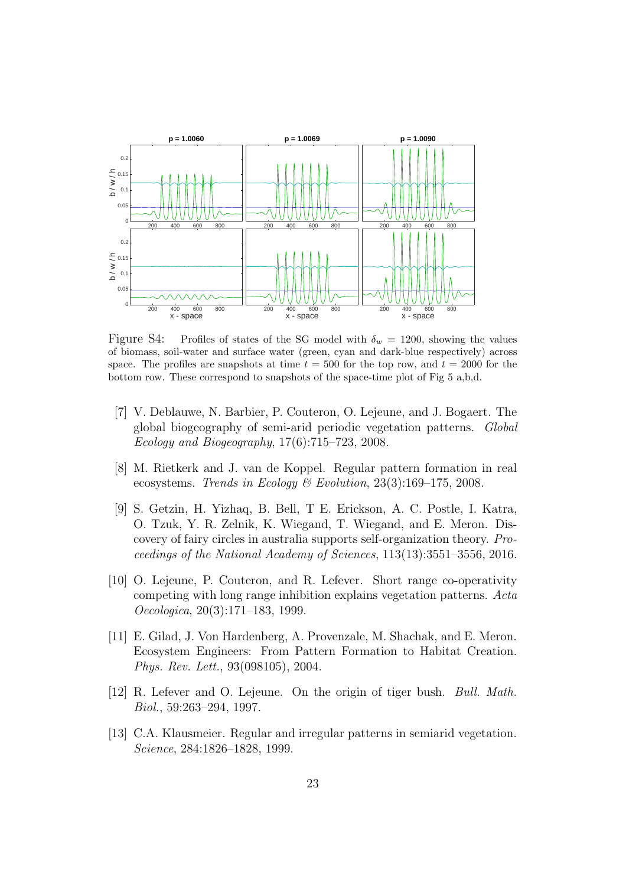

<span id="page-22-7"></span>Figure S4: Profiles of states of the SG model with  $\delta_w = 1200$ , showing the values of biomass, soil-water and surface water (green, cyan and dark-blue respectively) across space. The profiles are snapshots at time  $t = 500$  for the top row, and  $t = 2000$  for the bottom row. These correspond to snapshots of the space-time plot of Fig 5 a,b,d.

- <span id="page-22-0"></span>[7] V. Deblauwe, N. Barbier, P. Couteron, O. Lejeune, and J. Bogaert. The global biogeography of semi-arid periodic vegetation patterns. *Global Ecology and Biogeography*, 17(6):715–723, 2008.
- <span id="page-22-1"></span>[8] M. Rietkerk and J. van de Koppel. Regular pattern formation in real ecosystems. *Trends in Ecology & Evolution*, 23(3):169–175, 2008.
- <span id="page-22-2"></span>[9] S. Getzin, H. Yizhaq, B. Bell, T E. Erickson, A. C. Postle, I. Katra, O. Tzuk, Y. R. Zelnik, K. Wiegand, T. Wiegand, and E. Meron. Discovery of fairy circles in australia supports self-organization theory. *Proceedings of the National Academy of Sciences*, 113(13):3551–3556, 2016.
- <span id="page-22-3"></span>[10] O. Lejeune, P. Couteron, and R. Lefever. Short range co-operativity competing with long range inhibition explains vegetation patterns. *Acta Oecologica*, 20(3):171–183, 1999.
- <span id="page-22-4"></span>[11] E. Gilad, J. Von Hardenberg, A. Provenzale, M. Shachak, and E. Meron. Ecosystem Engineers: From Pattern Formation to Habitat Creation. *Phys. Rev. Lett.*, 93(098105), 2004.
- <span id="page-22-5"></span>[12] R. Lefever and O. Lejeune. On the origin of tiger bush. *Bull. Math. Biol.*, 59:263–294, 1997.
- <span id="page-22-6"></span>[13] C.A. Klausmeier. Regular and irregular patterns in semiarid vegetation. *Science*, 284:1826–1828, 1999.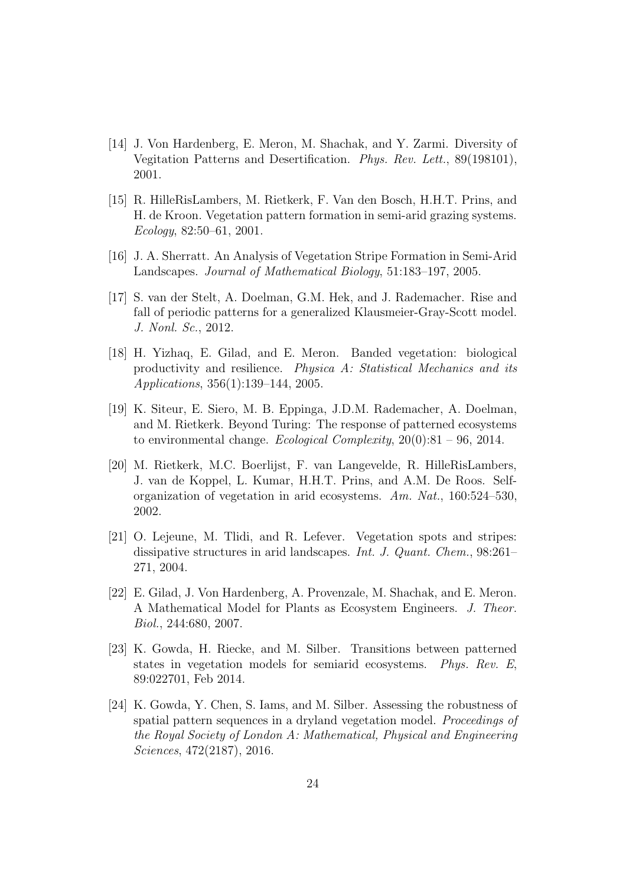- <span id="page-23-0"></span>[14] J. Von Hardenberg, E. Meron, M. Shachak, and Y. Zarmi. Diversity of Vegitation Patterns and Desertification. *Phys. Rev. Lett.*, 89(198101), 2001.
- <span id="page-23-1"></span>[15] R. HilleRisLambers, M. Rietkerk, F. Van den Bosch, H.H.T. Prins, and H. de Kroon. Vegetation pattern formation in semi-arid grazing systems. *Ecology*, 82:50–61, 2001.
- <span id="page-23-3"></span><span id="page-23-2"></span>[16] J. A. Sherratt. An Analysis of Vegetation Stripe Formation in Semi-Arid Landscapes. *Journal of Mathematical Biology*, 51:183–197, 2005.
- [17] S. van der Stelt, A. Doelman, G.M. Hek, and J. Rademacher. Rise and fall of periodic patterns for a generalized Klausmeier-Gray-Scott model. *J. Nonl. Sc.*, 2012.
- <span id="page-23-4"></span>[18] H. Yizhaq, E. Gilad, and E. Meron. Banded vegetation: biological productivity and resilience. *Physica A: Statistical Mechanics and its Applications*, 356(1):139–144, 2005.
- <span id="page-23-5"></span>[19] K. Siteur, E. Siero, M. B. Eppinga, J.D.M. Rademacher, A. Doelman, and M. Rietkerk. Beyond Turing: The response of patterned ecosystems to environmental change. *Ecological Complexity*, 20(0):81 – 96, 2014.
- <span id="page-23-6"></span>[20] M. Rietkerk, M.C. Boerlijst, F. van Langevelde, R. HilleRisLambers, J. van de Koppel, L. Kumar, H.H.T. Prins, and A.M. De Roos. Selforganization of vegetation in arid ecosystems. *Am. Nat.*, 160:524–530, 2002.
- <span id="page-23-7"></span>[21] O. Lejeune, M. Tlidi, and R. Lefever. Vegetation spots and stripes: dissipative structures in arid landscapes. *Int. J. Quant. Chem.*, 98:261– 271, 2004.
- <span id="page-23-8"></span>[22] E. Gilad, J. Von Hardenberg, A. Provenzale, M. Shachak, and E. Meron. A Mathematical Model for Plants as Ecosystem Engineers. *J. Theor. Biol.*, 244:680, 2007.
- <span id="page-23-9"></span>[23] K. Gowda, H. Riecke, and M. Silber. Transitions between patterned states in vegetation models for semiarid ecosystems. *Phys. Rev. E*, 89:022701, Feb 2014.
- <span id="page-23-10"></span>[24] K. Gowda, Y. Chen, S. Iams, and M. Silber. Assessing the robustness of spatial pattern sequences in a dryland vegetation model. *Proceedings of the Royal Society of London A: Mathematical, Physical and Engineering Sciences*, 472(2187), 2016.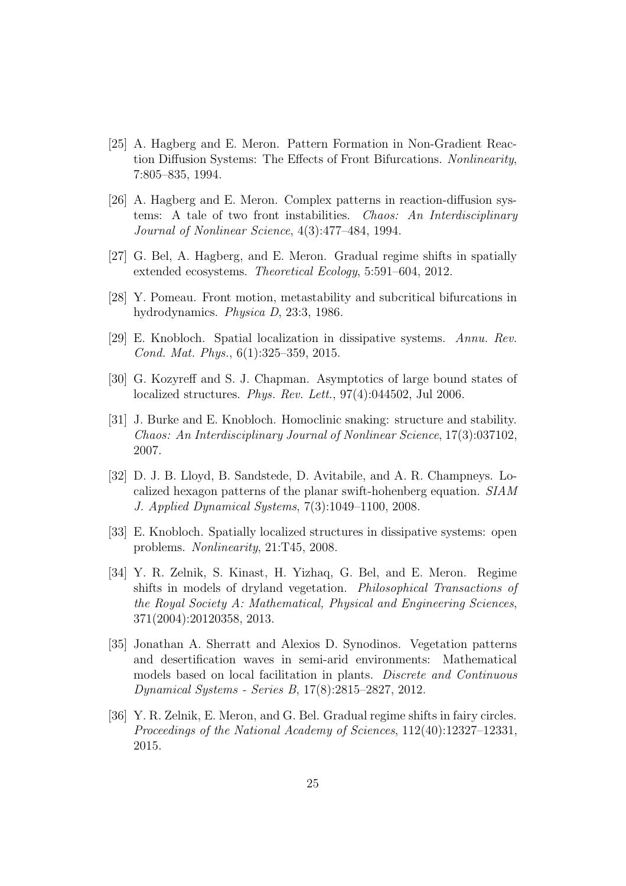- <span id="page-24-0"></span>[25] A. Hagberg and E. Meron. Pattern Formation in Non-Gradient Reaction Diffusion Systems: The Effects of Front Bifurcations. *Nonlinearity*, 7:805–835, 1994.
- <span id="page-24-1"></span>[26] A. Hagberg and E. Meron. Complex patterns in reaction-diffusion systems: A tale of two front instabilities. *Chaos: An Interdisciplinary Journal of Nonlinear Science*, 4(3):477–484, 1994.
- <span id="page-24-3"></span><span id="page-24-2"></span>[27] G. Bel, A. Hagberg, and E. Meron. Gradual regime shifts in spatially extended ecosystems. *Theoretical Ecology*, 5:591–604, 2012.
- <span id="page-24-4"></span>[28] Y. Pomeau. Front motion, metastability and subcritical bifurcations in hydrodynamics. *Physica D*, 23:3, 1986.
- <span id="page-24-5"></span>[29] E. Knobloch. Spatial localization in dissipative systems. *Annu. Rev. Cond. Mat. Phys.*, 6(1):325–359, 2015.
- <span id="page-24-6"></span>[30] G. Kozyreff and S. J. Chapman. Asymptotics of large bound states of localized structures. *Phys. Rev. Lett.*, 97(4):044502, Jul 2006.
- [31] J. Burke and E. Knobloch. Homoclinic snaking: structure and stability. *Chaos: An Interdisciplinary Journal of Nonlinear Science*, 17(3):037102, 2007.
- <span id="page-24-7"></span>[32] D. J. B. Lloyd, B. Sandstede, D. Avitabile, and A. R. Champneys. Localized hexagon patterns of the planar swift-hohenberg equation. *SIAM J. Applied Dynamical Systems*, 7(3):1049–1100, 2008.
- <span id="page-24-9"></span><span id="page-24-8"></span>[33] E. Knobloch. Spatially localized structures in dissipative systems: open problems. *Nonlinearity*, 21:T45, 2008.
- [34] Y. R. Zelnik, S. Kinast, H. Yizhaq, G. Bel, and E. Meron. Regime shifts in models of dryland vegetation. *Philosophical Transactions of the Royal Society A: Mathematical, Physical and Engineering Sciences*, 371(2004):20120358, 2013.
- <span id="page-24-11"></span>[35] Jonathan A. Sherratt and Alexios D. Synodinos. Vegetation patterns and desertification waves in semi-arid environments: Mathematical models based on local facilitation in plants. *Discrete and Continuous Dynamical Systems - Series B*, 17(8):2815–2827, 2012.
- <span id="page-24-10"></span>[36] Y. R. Zelnik, E. Meron, and G. Bel. Gradual regime shifts in fairy circles. *Proceedings of the National Academy of Sciences*, 112(40):12327–12331, 2015.